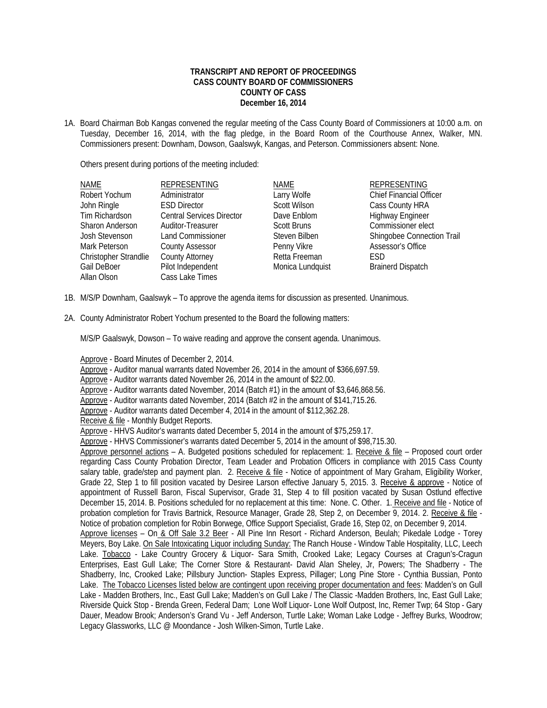## **TRANSCRIPT AND REPORT OF PROCEEDINGS CASS COUNTY BOARD OF COMMISSIONERS COUNTY OF CASS December 16, 2014**

1A. Board Chairman Bob Kangas convened the regular meeting of the Cass County Board of Commissioners at 10:00 a.m. on Tuesday, December 16, 2014, with the flag pledge, in the Board Room of the Courthouse Annex, Walker, MN. Commissioners present: Downham, Dowson, Gaalswyk, Kangas, and Peterson. Commissioners absent: None.

Others present during portions of the meeting included:

| <b>NAME</b>     |                       | <b>REPRESENTING</b>              | <b>NAME</b>         | <b>REPRESENTING</b>            |  |
|-----------------|-----------------------|----------------------------------|---------------------|--------------------------------|--|
| Robert Yochum   |                       | Administrator                    | Larry Wolfe         | <b>Chief Financial Officer</b> |  |
| John Ringle     |                       | <b>ESD Director</b>              | <b>Scott Wilson</b> | Cass County HRA                |  |
| Tim Richardson  |                       | <b>Central Services Director</b> | Dave Enblom         | <b>Highway Engineer</b>        |  |
| Sharon Anderson |                       | Auditor-Treasurer                | <b>Scott Bruns</b>  | Commissioner elect             |  |
| Josh Stevenson  |                       | <b>Land Commissioner</b>         | Steven Bilben       | Shingobee Connection Trail     |  |
| Mark Peterson   |                       | <b>County Assessor</b>           | Penny Vikre         | Assessor's Office              |  |
|                 | Christopher Strandlie | <b>County Attorney</b>           | Retta Freeman       | <b>FSD</b>                     |  |
| Gail DeBoer     |                       | Pilot Independent                | Monica Lundquist    | <b>Brainerd Dispatch</b>       |  |
| Allan Olson     |                       | Cass Lake Times                  |                     |                                |  |

- 1B. M/S/P Downham, Gaalswyk To approve the agenda items for discussion as presented. Unanimous.
- 2A. County Administrator Robert Yochum presented to the Board the following matters:

M/S/P Gaalswyk, Dowson – To waive reading and approve the consent agenda. Unanimous.

Approve - Board Minutes of December 2, 2014.

Approve - Auditor manual warrants dated November 26, 2014 in the amount of \$366,697.59.

Approve - Auditor warrants dated November 26, 2014 in the amount of \$22.00.

Approve - Auditor warrants dated November, 2014 (Batch #1) in the amount of \$3,646,868.56.

Approve - Auditor warrants dated November, 2014 (Batch #2 in the amount of \$141,715.26.

Approve - Auditor warrants dated December 4, 2014 in the amount of \$112,362.28.

Receive & file - Monthly Budget Reports.

Approve - HHVS Auditor's warrants dated December 5, 2014 in the amount of \$75,259.17.

Approve - HHVS Commissioner's warrants dated December 5, 2014 in the amount of \$98,715.30.

Approve personnel actions – A. Budgeted positions scheduled for replacement: 1. Receive & file – Proposed court order regarding Cass County Probation Director, Team Leader and Probation Officers in compliance with 2015 Cass County salary table, grade/step and payment plan. 2. Receive & file - Notice of appointment of Mary Graham, Eligibility Worker, Grade 22, Step 1 to fill position vacated by Desiree Larson effective January 5, 2015. 3. Receive & approve - Notice of appointment of Russell Baron, Fiscal Supervisor, Grade 31, Step 4 to fill position vacated by Susan Ostlund effective December 15, 2014. B. Positions scheduled for no replacement at this time: None. C. Other. 1. Receive and file - Notice of probation completion for Travis Bartnick, Resource Manager, Grade 28, Step 2, on December 9, 2014. 2. Receive & file - Notice of probation completion for Robin Borwege, Office Support Specialist, Grade 16, Step 02, on December 9, 2014. Approve licenses – On & Off Sale 3.2 Beer - All Pine Inn Resort - Richard Anderson, Beulah; Pikedale Lodge - Torey Meyers, Boy Lake. On Sale Intoxicating Liquor including Sunday: The Ranch House - Window Table Hospitality, LLC, Leech

Lake. Tobacco - Lake Country Grocery & Liquor- Sara Smith, Crooked Lake; Legacy Courses at Cragun's-Cragun Enterprises, East Gull Lake; The Corner Store & Restaurant- David Alan Sheley, Jr, Powers; The Shadberry - The Shadberry, Inc, Crooked Lake; Pillsbury Junction- Staples Express, Pillager; Long Pine Store - Cynthia Bussian, Ponto Lake. The Tobacco Licenses listed below are contingent upon receiving proper documentation and fees: Madden's on Gull Lake - Madden Brothers, Inc., East Gull Lake; Madden's on Gull Lake / The Classic -Madden Brothers, Inc, East Gull Lake; Riverside Quick Stop - Brenda Green, Federal Dam; Lone Wolf Liquor- Lone Wolf Outpost, Inc, Remer Twp; 64 Stop - Gary Dauer, Meadow Brook; Anderson's Grand Vu - Jeff Anderson, Turtle Lake; Woman Lake Lodge - Jeffrey Burks, Woodrow; Legacy Glassworks, LLC @ Moondance - Josh Wilken-Simon, Turtle Lake,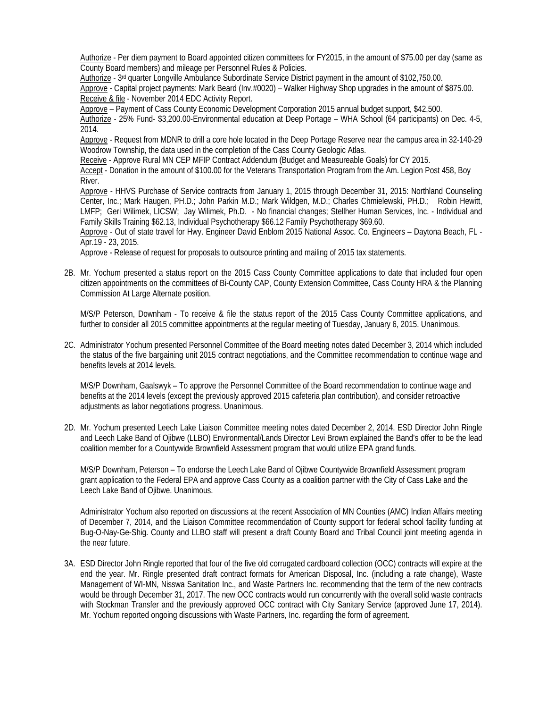Authorize - Per diem payment to Board appointed citizen committees for FY2015, in the amount of \$75.00 per day (same as County Board members) and mileage per Personnel Rules & Policies.

Authorize - 3rd quarter Longville Ambulance Subordinate Service District payment in the amount of \$102,750.00. Approve - Capital project payments: Mark Beard (Inv.#0020) – Walker Highway Shop upgrades in the amount of \$875.00. Receive & file - November 2014 EDC Activity Report.

Approve – Payment of Cass County Economic Development Corporation 2015 annual budget support, \$42,500.

Authorize - 25% Fund- \$3,200.00-Environmental education at Deep Portage – WHA School (64 participants) on Dec. 4-5, 2014.

Approve - Request from MDNR to drill a core hole located in the Deep Portage Reserve near the campus area in 32-140-29 Woodrow Township, the data used in the completion of the Cass County Geologic Atlas.

Receive - Approve Rural MN CEP MFIP Contract Addendum (Budget and Measureable Goals) for CY 2015.

Accept - Donation in the amount of \$100.00 for the Veterans Transportation Program from the Am. Legion Post 458, Boy River.

Approve - HHVS Purchase of Service contracts from January 1, 2015 through December 31, 2015: Northland Counseling Center, Inc.; Mark Haugen, PH.D.; John Parkin M.D.; Mark Wildgen, M.D.; Charles Chmielewski, PH.D.; Robin Hewitt, LMFP; Geri Wilimek, LICSW; Jay Wilimek, Ph.D. - No financial changes; Stellher Human Services, Inc. - Individual and Family Skills Training \$62.13, Individual Psychotherapy \$66.12 Family Psychotherapy \$69.60.

Approve - Out of state travel for Hwy. Engineer David Enblom 2015 National Assoc. Co. Engineers – Daytona Beach, FL - Apr.19 - 23, 2015.

Approve - Release of request for proposals to outsource printing and mailing of 2015 tax statements.

2B. Mr. Yochum presented a status report on the 2015 Cass County Committee applications to date that included four open citizen appointments on the committees of Bi-County CAP, County Extension Committee, Cass County HRA & the Planning Commission At Large Alternate position.

 M/S/P Peterson, Downham - To receive & file the status report of the 2015 Cass County Committee applications, and further to consider all 2015 committee appointments at the regular meeting of Tuesday, January 6, 2015. Unanimous.

2C. Administrator Yochum presented Personnel Committee of the Board meeting notes dated December 3, 2014 which included the status of the five bargaining unit 2015 contract negotiations, and the Committee recommendation to continue wage and benefits levels at 2014 levels.

M/S/P Downham, Gaalswyk – To approve the Personnel Committee of the Board recommendation to continue wage and benefits at the 2014 levels (except the previously approved 2015 cafeteria plan contribution), and consider retroactive adjustments as labor negotiations progress. Unanimous.

2D. Mr. Yochum presented Leech Lake Liaison Committee meeting notes dated December 2, 2014. ESD Director John Ringle and Leech Lake Band of Ojibwe (LLBO) Environmental/Lands Director Levi Brown explained the Band's offer to be the lead coalition member for a Countywide Brownfield Assessment program that would utilize EPA grand funds.

M/S/P Downham, Peterson – To endorse the Leech Lake Band of Ojibwe Countywide Brownfield Assessment program grant application to the Federal EPA and approve Cass County as a coalition partner with the City of Cass Lake and the Leech Lake Band of Ojibwe. Unanimous.

 Administrator Yochum also reported on discussions at the recent Association of MN Counties (AMC) Indian Affairs meeting of December 7, 2014, and the Liaison Committee recommendation of County support for federal school facility funding at Bug-O-Nay-Ge-Shig. County and LLBO staff will present a draft County Board and Tribal Council joint meeting agenda in the near future.

3A. ESD Director John Ringle reported that four of the five old corrugated cardboard collection (OCC) contracts will expire at the end the year. Mr. Ringle presented draft contract formats for American Disposal, Inc. (including a rate change), Waste Management of WI-MN, Nisswa Sanitation Inc., and Waste Partners Inc. recommending that the term of the new contracts would be through December 31, 2017. The new OCC contracts would run concurrently with the overall solid waste contracts with Stockman Transfer and the previously approved OCC contract with City Sanitary Service (approved June 17, 2014). Mr. Yochum reported ongoing discussions with Waste Partners, Inc. regarding the form of agreement.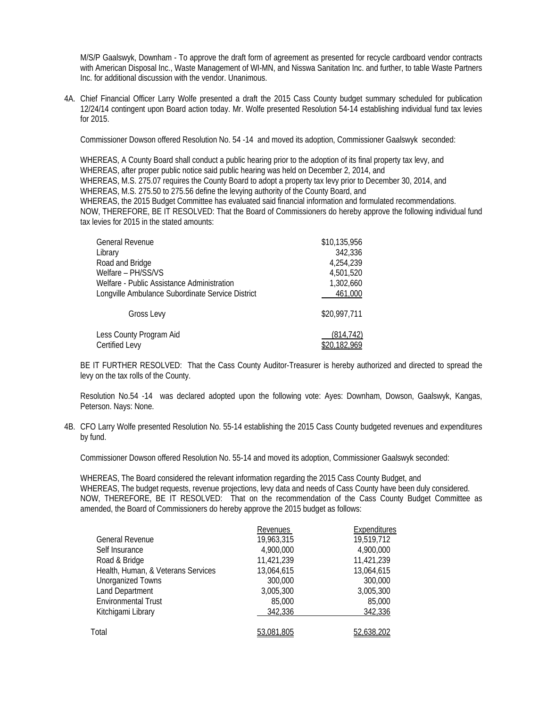M/S/P Gaalswyk, Downham - To approve the draft form of agreement as presented for recycle cardboard vendor contracts with American Disposal Inc., Waste Management of WI-MN, and Nisswa Sanitation Inc. and further, to table Waste Partners Inc. for additional discussion with the vendor. Unanimous.

4A. Chief Financial Officer Larry Wolfe presented a draft the 2015 Cass County budget summary scheduled for publication 12/24/14 contingent upon Board action today. Mr. Wolfe presented Resolution 54-14 establishing individual fund tax levies for 2015.

Commissioner Dowson offered Resolution No. 54 -14 and moved its adoption, Commissioner Gaalswyk seconded:

WHEREAS, A County Board shall conduct a public hearing prior to the adoption of its final property tax levy, and WHEREAS, after proper public notice said public hearing was held on December 2, 2014, and WHEREAS, M.S. 275.07 requires the County Board to adopt a property tax levy prior to December 30, 2014, and WHEREAS, M.S. 275.50 to 275.56 define the levying authority of the County Board, and

WHEREAS, the 2015 Budget Committee has evaluated said financial information and formulated recommendations. NOW, THEREFORE, BE IT RESOLVED: That the Board of Commissioners do hereby approve the following individual fund tax levies for 2015 in the stated amounts:

| <b>General Revenue</b>                           | \$10,135,956 |
|--------------------------------------------------|--------------|
| Library                                          | 342,336      |
| Road and Bridge                                  | 4,254,239    |
| Welfare - PH/SS/VS                               | 4,501,520    |
| Welfare - Public Assistance Administration       | 1,302,660    |
| Longville Ambulance Subordinate Service District | 461,000      |
| Gross Levy                                       | \$20,997,711 |
| Less County Program Aid                          | (814, 742)   |
| Certified Levy                                   | \$20,182,969 |

BE IT FURTHER RESOLVED: That the Cass County Auditor-Treasurer is hereby authorized and directed to spread the levy on the tax rolls of the County.

Resolution No.54 -14 was declared adopted upon the following vote: Ayes: Downham, Dowson, Gaalswyk, Kangas, Peterson. Nays: None.

4B. CFO Larry Wolfe presented Resolution No. 55-14 establishing the 2015 Cass County budgeted revenues and expenditures by fund.

Commissioner Dowson offered Resolution No. 55-14 and moved its adoption, Commissioner Gaalswyk seconded:

WHEREAS, The Board considered the relevant information regarding the 2015 Cass County Budget, and WHEREAS, The budget requests, revenue projections, levy data and needs of Cass County have been duly considered. NOW, THEREFORE, BE IT RESOLVED: That on the recommendation of the Cass County Budget Committee as amended, the Board of Commissioners do hereby approve the 2015 budget as follows:

|                                    | Revenues   | Expenditures |
|------------------------------------|------------|--------------|
| <b>General Revenue</b>             | 19,963,315 | 19,519,712   |
| Self Insurance                     | 4,900,000  | 4,900,000    |
| Road & Bridge                      | 11,421,239 | 11,421,239   |
| Health, Human, & Veterans Services | 13,064,615 | 13,064,615   |
| <b>Unorganized Towns</b>           | 300,000    | 300,000      |
| Land Department                    | 3,005,300  | 3,005,300    |
| <b>Environmental Trust</b>         | 85,000     | 85,000       |
| Kitchigami Library                 | 342,336    | 342,336      |
| Total                              |            |              |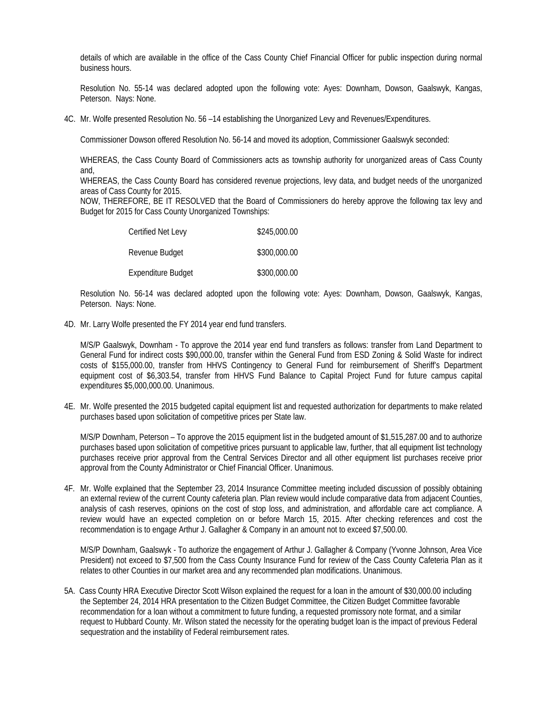details of which are available in the office of the Cass County Chief Financial Officer for public inspection during normal business hours.

Resolution No. 55-14 was declared adopted upon the following vote: Ayes: Downham, Dowson, Gaalswyk, Kangas, Peterson. Nays: None.

4C. Mr. Wolfe presented Resolution No. 56 –14 establishing the Unorganized Levy and Revenues/Expenditures.

Commissioner Dowson offered Resolution No. 56-14 and moved its adoption, Commissioner Gaalswyk seconded:

WHEREAS, the Cass County Board of Commissioners acts as township authority for unorganized areas of Cass County and,

WHEREAS, the Cass County Board has considered revenue projections, levy data, and budget needs of the unorganized areas of Cass County for 2015.

NOW, THEREFORE, BE IT RESOLVED that the Board of Commissioners do hereby approve the following tax levy and Budget for 2015 for Cass County Unorganized Townships:

| Certified Net Levy | \$245,000.00 |
|--------------------|--------------|
| Revenue Budget     | \$300,000.00 |
| Expenditure Budget | \$300,000.00 |

Resolution No. 56-14 was declared adopted upon the following vote: Ayes: Downham, Dowson, Gaalswyk, Kangas, Peterson. Nays: None.

4D. Mr. Larry Wolfe presented the FY 2014 year end fund transfers.

M/S/P Gaalswyk, Downham - To approve the 2014 year end fund transfers as follows: transfer from Land Department to General Fund for indirect costs \$90,000.00, transfer within the General Fund from ESD Zoning & Solid Waste for indirect costs of \$155,000.00, transfer from HHVS Contingency to General Fund for reimbursement of Sheriff's Department equipment cost of \$6,303.54, transfer from HHVS Fund Balance to Capital Project Fund for future campus capital expenditures \$5,000,000.00. Unanimous.

4E. Mr. Wolfe presented the 2015 budgeted capital equipment list and requested authorization for departments to make related purchases based upon solicitation of competitive prices per State law.

M/S/P Downham, Peterson – To approve the 2015 equipment list in the budgeted amount of \$1,515,287.00 and to authorize purchases based upon solicitation of competitive prices pursuant to applicable law, further, that all equipment list technology purchases receive prior approval from the Central Services Director and all other equipment list purchases receive prior approval from the County Administrator or Chief Financial Officer. Unanimous.

4F. Mr. Wolfe explained that the September 23, 2014 Insurance Committee meeting included discussion of possibly obtaining an external review of the current County cafeteria plan. Plan review would include comparative data from adjacent Counties, analysis of cash reserves, opinions on the cost of stop loss, and administration, and affordable care act compliance. A review would have an expected completion on or before March 15, 2015. After checking references and cost the recommendation is to engage Arthur J. Gallagher & Company in an amount not to exceed \$7,500.00.

M/S/P Downham, Gaalswyk - To authorize the engagement of Arthur J. Gallagher & Company (Yvonne Johnson, Area Vice President) not exceed to \$7,500 from the Cass County Insurance Fund for review of the Cass County Cafeteria Plan as it relates to other Counties in our market area and any recommended plan modifications. Unanimous.

5A. Cass County HRA Executive Director Scott Wilson explained the request for a loan in the amount of \$30,000.00 including the September 24, 2014 HRA presentation to the Citizen Budget Committee, the Citizen Budget Committee favorable recommendation for a loan without a commitment to future funding, a requested promissory note format, and a similar request to Hubbard County. Mr. Wilson stated the necessity for the operating budget loan is the impact of previous Federal sequestration and the instability of Federal reimbursement rates.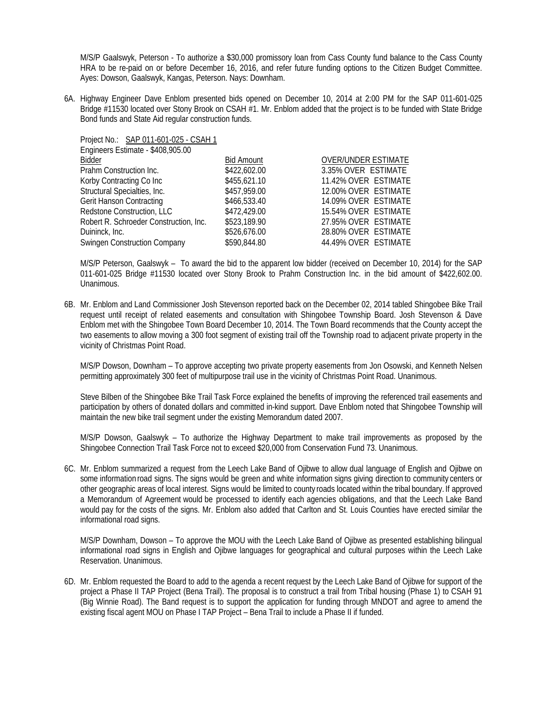M/S/P Gaalswyk, Peterson - To authorize a \$30,000 promissory loan from Cass County fund balance to the Cass County HRA to be re-paid on or before December 16, 2016, and refer future funding options to the Citizen Budget Committee. Ayes: Dowson, Gaalswyk, Kangas, Peterson. Nays: Downham.

6A. Highway Engineer Dave Enblom presented bids opened on December 10, 2014 at 2:00 PM for the SAP 011-601-025 Bridge #11530 located over Stony Brook on CSAH #1. Mr. Enblom added that the project is to be funded with State Bridge Bond funds and State Aid regular construction funds.

| Project No.: SAP 011-601-025 - CSAH 1  |                   |                            |
|----------------------------------------|-------------------|----------------------------|
| Engineers Estimate - \$408,905.00      |                   |                            |
| <b>Bidder</b>                          | <b>Bid Amount</b> | <b>OVER/UNDER ESTIMATE</b> |
| Prahm Construction Inc.                | \$422,602.00      | 3.35% OVER ESTIMATE        |
| Korby Contracting Co Inc               | \$455,621.10      | 11.42% OVER ESTIMATE       |
| Structural Specialties, Inc.           | \$457,959.00      | 12.00% OVER ESTIMATE       |
| <b>Gerit Hanson Contracting</b>        | \$466,533.40      | 14.09% OVER ESTIMATE       |
| Redstone Construction, LLC             | \$472,429.00      | 15.54% OVER ESTIMATE       |
| Robert R. Schroeder Construction, Inc. | \$523,189.90      | 27.95% OVER ESTIMATE       |
| Duininck, Inc.                         | \$526,676.00      | 28.80% OVER ESTIMATE       |
| <b>Swingen Construction Company</b>    | \$590,844.80      | 44.49% OVER ESTIMATE       |
|                                        |                   |                            |

M/S/P Peterson, Gaalswyk – To award the bid to the apparent low bidder (received on December 10, 2014) for the SAP 011-601-025 Bridge #11530 located over Stony Brook to Prahm Construction Inc. in the bid amount of \$422,602.00. Unanimous.

6B. Mr. Enblom and Land Commissioner Josh Stevenson reported back on the December 02, 2014 tabled Shingobee Bike Trail request until receipt of related easements and consultation with Shingobee Township Board. Josh Stevenson & Dave Enblom met with the Shingobee Town Board December 10, 2014. The Town Board recommends that the County accept the two easements to allow moving a 300 foot segment of existing trail off the Township road to adjacent private property in the vicinity of Christmas Point Road.

M/S/P Dowson, Downham – To approve accepting two private property easements from Jon Osowski, and Kenneth Nelsen permitting approximately 300 feet of multipurpose trail use in the vicinity of Christmas Point Road. Unanimous.

Steve Bilben of the Shingobee Bike Trail Task Force explained the benefits of improving the referenced trail easements and participation by others of donated dollars and committed in-kind support. Dave Enblom noted that Shingobee Township will maintain the new bike trail segment under the existing Memorandum dated 2007.

M/S/P Dowson, Gaalswyk – To authorize the Highway Department to make trail improvements as proposed by the Shingobee Connection Trail Task Force not to exceed \$20,000 from Conservation Fund 73. Unanimous.

6C. Mr. Enblom summarized a request from the Leech Lake Band of Ojibwe to allow dual language of English and Ojibwe on some information road signs. The signs would be green and white information signs giving direction to community centers or other geographic areas of local interest. Signs would be limited to county roads located within the tribal boundary. If approved a Memorandum of Agreement would be processed to identify each agencies obligations, and that the Leech Lake Band would pay for the costs of the signs. Mr. Enblom also added that Carlton and St. Louis Counties have erected similar the informational road signs.

 M/S/P Downham, Dowson – To approve the MOU with the Leech Lake Band of Ojibwe as presented establishing bilingual informational road signs in English and Ojibwe languages for geographical and cultural purposes within the Leech Lake Reservation. Unanimous.

6D. Mr. Enblom requested the Board to add to the agenda a recent request by the Leech Lake Band of Ojibwe for support of the project a Phase II TAP Project (Bena Trail). The proposal is to construct a trail from Tribal housing (Phase 1) to CSAH 91 (Big Winnie Road). The Band request is to support the application for funding through MNDOT and agree to amend the existing fiscal agent MOU on Phase I TAP Project – Bena Trail to include a Phase II if funded.